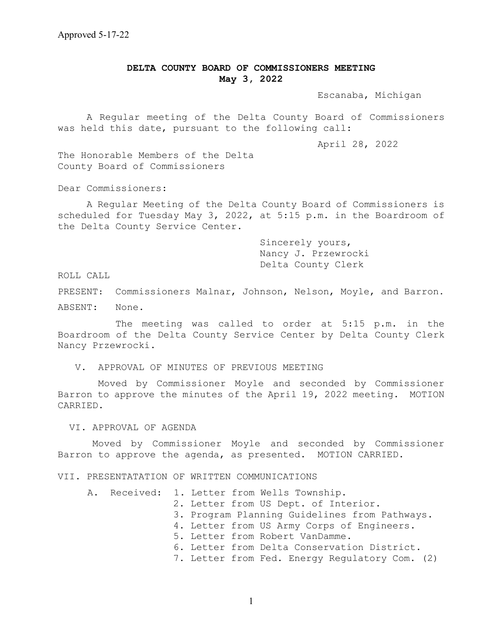# **DELTA COUNTY BOARD OF COMMISSIONERS MEETING May 3, 2022**

Escanaba, Michigan

 A Regular meeting of the Delta County Board of Commissioners was held this date, pursuant to the following call:

April 28, 2022

The Honorable Members of the Delta County Board of Commissioners

Dear Commissioners:

A Regular Meeting of the Delta County Board of Commissioners is scheduled for Tuesday May 3, 2022, at 5:15 p.m. in the Boardroom of the Delta County Service Center.

> Sincerely yours, Nancy J. Przewrocki Delta County Clerk

ROLL CALL

PRESENT: Commissioners Malnar, Johnson, Nelson, Moyle, and Barron.

ABSENT: None.

The meeting was called to order at 5:15 p.m. in the Boardroom of the Delta County Service Center by Delta County Clerk Nancy Przewrocki.

V. APPROVAL OF MINUTES OF PREVIOUS MEETING

 Moved by Commissioner Moyle and seconded by Commissioner Barron to approve the minutes of the April 19, 2022 meeting. MOTION CARRIED.

VI. APPROVAL OF AGENDA

Moved by Commissioner Moyle and seconded by Commissioner Barron to approve the agenda, as presented. MOTION CARRIED.

#### VII. PRESENTATATION OF WRITTEN COMMUNICATIONS

A. Received: 1. Letter from Wells Township. 2. Letter from US Dept. of Interior. 3. Program Planning Guidelines from Pathways. 4. Letter from US Army Corps of Engineers. 5. Letter from Robert VanDamme. 6. Letter from Delta Conservation District. 7. Letter from Fed. Energy Regulatory Com. (2)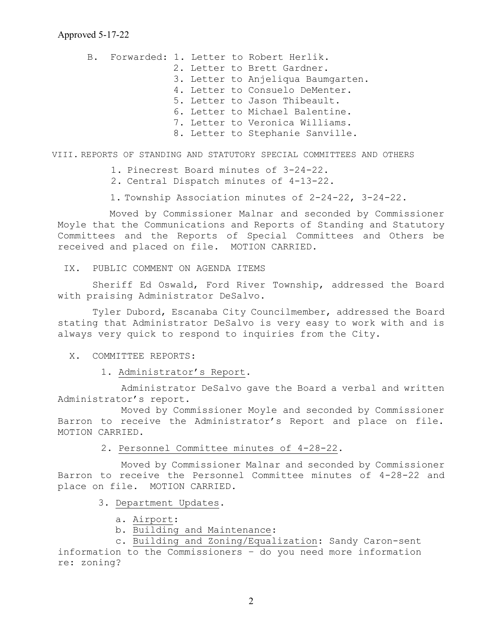B. Forwarded: 1. Letter to Robert Herlik. 2. Letter to Brett Gardner. 3. Letter to Anjeliqua Baumgarten. 4. Letter to Consuelo DeMenter. 5. Letter to Jason Thibeault. 6. Letter to Michael Balentine. 7. Letter to Veronica Williams. 8. Letter to Stephanie Sanville.

VIII. REPORTS OF STANDING AND STATUTORY SPECIAL COMMITTEES AND OTHERS

- 1. Pinecrest Board minutes of 3-24-22.
- 2. Central Dispatch minutes of 4-13-22.
- 1. Township Association minutes of 2-24-22, 3-24-22.

 Moved by Commissioner Malnar and seconded by Commissioner Moyle that the Communications and Reports of Standing and Statutory Committees and the Reports of Special Committees and Others be received and placed on file. MOTION CARRIED.

IX. PUBLIC COMMENT ON AGENDA ITEMS

 Sheriff Ed Oswald, Ford River Township, addressed the Board with praising Administrator DeSalvo.

Tyler Dubord, Escanaba City Councilmember, addressed the Board stating that Administrator DeSalvo is very easy to work with and is always very quick to respond to inquiries from the City.

- X. COMMITTEE REPORTS:
	- 1. Administrator's Report.

 Administrator DeSalvo gave the Board a verbal and written Administrator's report.

 Moved by Commissioner Moyle and seconded by Commissioner Barron to receive the Administrator's Report and place on file. MOTION CARRIED.

2. Personnel Committee minutes of 4-28-22.

 Moved by Commissioner Malnar and seconded by Commissioner Barron to receive the Personnel Committee minutes of 4-28-22 and place on file. MOTION CARRIED.

- 3. Department Updates.
	- a. Airport:
	- b. Building and Maintenance:

 c. Building and Zoning/Equalization: Sandy Caron-sent information to the Commissioners – do you need more information re: zoning?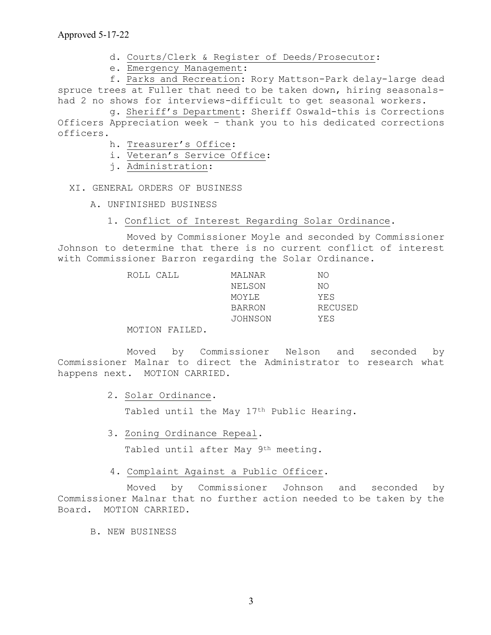- d. Courts/Clerk & Register of Deeds/Prosecutor:
- e. Emergency Management:

 f. Parks and Recreation: Rory Mattson-Park delay-large dead spruce trees at Fuller that need to be taken down, hiring seasonalshad 2 no shows for interviews-difficult to get seasonal workers.

 g. Sheriff's Department: Sheriff Oswald-this is Corrections Officers Appreciation week – thank you to his dedicated corrections officers.

- h. Treasurer's Office:
- i. Veteran's Service Office:
- j. Administration:

XI. GENERAL ORDERS OF BUSINESS

- A. UNFINISHED BUSINESS
	- 1. Conflict of Interest Regarding Solar Ordinance.

 Moved by Commissioner Moyle and seconded by Commissioner Johnson to determine that there is no current conflict of interest with Commissioner Barron regarding the Solar Ordinance.

| ROLL CALL | MALNAR        | NΟ      |
|-----------|---------------|---------|
|           | NELSON        | NΟ      |
|           | MOYLE         | YES     |
|           | <b>BARRON</b> | RECUSED |
|           | JOHNSON       | YES     |
|           |               |         |

MOTION FAILED.

 Moved by Commissioner Nelson and seconded by Commissioner Malnar to direct the Administrator to research what happens next. MOTION CARRIED.

2. Solar Ordinance.

Tabled until the May 17<sup>th</sup> Public Hearing.

3. Zoning Ordinance Repeal.

Tabled until after May 9<sup>th</sup> meeting.

## 4. Complaint Against a Public Officer.

 Moved by Commissioner Johnson and seconded by Commissioner Malnar that no further action needed to be taken by the Board. MOTION CARRIED.

B. NEW BUSINESS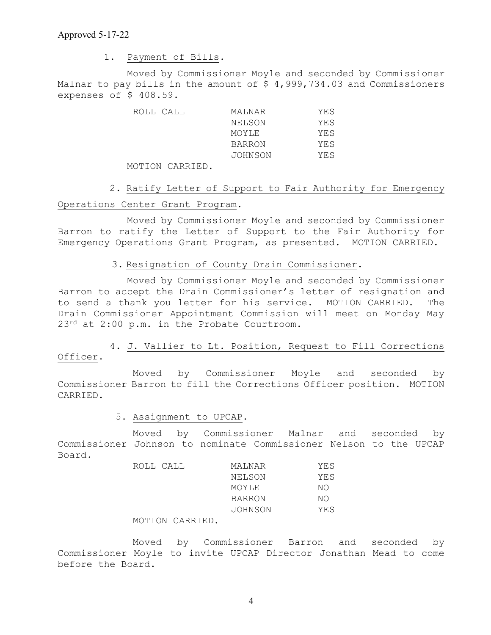1. Payment of Bills.

 Moved by Commissioner Moyle and seconded by Commissioner Malnar to pay bills in the amount of \$ 4,999,734.03 and Commissioners expenses of \$ 408.59.

| ROLL CALL | MAINAR        | YES  |
|-----------|---------------|------|
|           | NELSON        | YES. |
|           | MOYLE         | YE.S |
|           | <b>BARRON</b> | YES  |
|           | JOHNSON       | YES  |

MOTION CARRIED.

 2. Ratify Letter of Support to Fair Authority for Emergency Operations Center Grant Program.

 Moved by Commissioner Moyle and seconded by Commissioner Barron to ratify the Letter of Support to the Fair Authority for Emergency Operations Grant Program, as presented. MOTION CARRIED.

# 3. Resignation of County Drain Commissioner.

 Moved by Commissioner Moyle and seconded by Commissioner Barron to accept the Drain Commissioner's letter of resignation and to send a thank you letter for his service. MOTION CARRIED. The Drain Commissioner Appointment Commission will meet on Monday May 23<sup>rd</sup> at 2:00 p.m. in the Probate Courtroom.

 4. J. Vallier to Lt. Position, Request to Fill Corrections Officer.

 Moved by Commissioner Moyle and seconded by Commissioner Barron to fill the Corrections Officer position. MOTION CARRIED.

### 5. Assignment to UPCAP.

 Moved by Commissioner Malnar and seconded by Commissioner Johnson to nominate Commissioner Nelson to the UPCAP Board.

| ROLL CALL | MALNAR        | YES |
|-----------|---------------|-----|
|           | NELSON        | YES |
|           | MOYLE         | NΟ  |
|           | <b>BARRON</b> | NΟ  |
|           | JOHNSON       | YES |
|           |               |     |

## MOTION CARRIED.

 Moved by Commissioner Barron and seconded by Commissioner Moyle to invite UPCAP Director Jonathan Mead to come before the Board.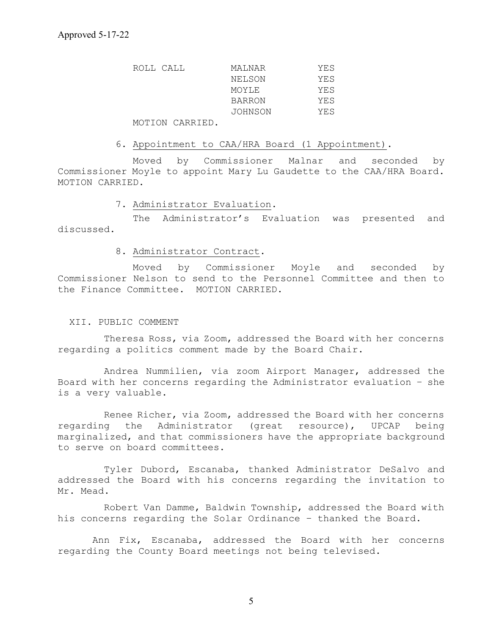| ROLL CALL | MALNAR  | YES |
|-----------|---------|-----|
|           | NELSON  | YES |
|           | MOYLE   | YES |
|           | BARRON  | YES |
|           | JOHNSON | YES |

MOTION CARRIED.

#### 6. Appointment to CAA/HRA Board (1 Appointment).

 Moved by Commissioner Malnar and seconded by Commissioner Moyle to appoint Mary Lu Gaudette to the CAA/HRA Board. MOTION CARRIED.

#### 7. Administrator Evaluation.

 The Administrator's Evaluation was presented and discussed.

#### 8. Administrator Contract.

 Moved by Commissioner Moyle and seconded by Commissioner Nelson to send to the Personnel Committee and then to the Finance Committee. MOTION CARRIED.

### XII. PUBLIC COMMENT

 Theresa Ross, via Zoom, addressed the Board with her concerns regarding a politics comment made by the Board Chair.

 Andrea Nummilien, via zoom Airport Manager, addressed the Board with her concerns regarding the Administrator evaluation – she is a very valuable.

 Renee Richer, via Zoom, addressed the Board with her concerns regarding the Administrator (great resource), UPCAP being marginalized, and that commissioners have the appropriate background to serve on board committees.

 Tyler Dubord, Escanaba, thanked Administrator DeSalvo and addressed the Board with his concerns regarding the invitation to Mr. Mead.

 Robert Van Damme, Baldwin Township, addressed the Board with his concerns regarding the Solar Ordinance – thanked the Board.

Ann Fix, Escanaba, addressed the Board with her concerns regarding the County Board meetings not being televised.